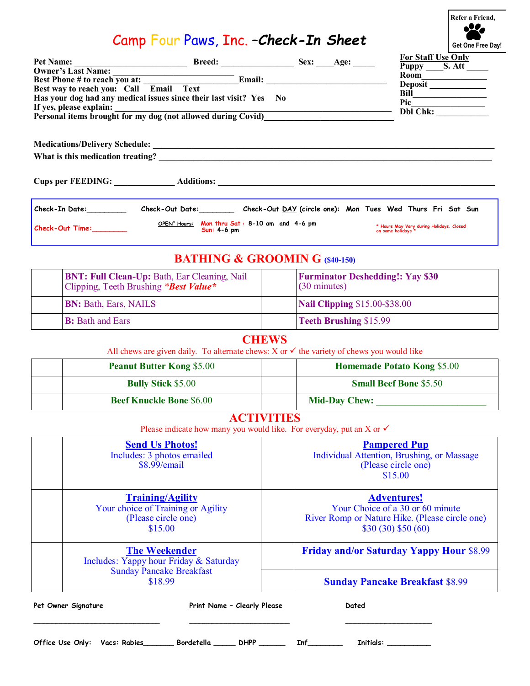## Camp Four Paws, Inc. –*Check-In Sheet*

**Get One Free Day! Refer a Friend,**

|                                                                                                                                            |                                                                   | <b>For Staff Use Only</b>                                      |
|--------------------------------------------------------------------------------------------------------------------------------------------|-------------------------------------------------------------------|----------------------------------------------------------------|
|                                                                                                                                            |                                                                   | Puppy S. Att ______                                            |
| Owner's Last Name:<br>Best Phone # to reach you at:<br>Best way to reach you: Call Email Text<br>Email:                                    |                                                                   | Room<br>Deposit                                                |
|                                                                                                                                            |                                                                   | Bill                                                           |
| Has your dog had any medical issues since their last visit? Yes No<br>If yes, please explain:                                              |                                                                   | Pic                                                            |
| The yes, please explain:<br>Personal items brought for my dog (not allowed during Covid)                                                   |                                                                   |                                                                |
|                                                                                                                                            |                                                                   |                                                                |
|                                                                                                                                            |                                                                   |                                                                |
|                                                                                                                                            |                                                                   |                                                                |
|                                                                                                                                            |                                                                   |                                                                |
| Check-In Date:_____________ Check-Out Date:__________ Check-Out <u>DAY</u> (circle one): Mon Tues Wed Thurs Fri Sat Sun                    |                                                                   |                                                                |
| OPEN" Hours: Mon thru Sat: 8-10 am and 4-6 pm<br>Check-Out Time:<br>$Sun: 4-6 pm$                                                          |                                                                   | * Hours May Vary during Holidays. Closed<br>on some holidays * |
| <b>BATHING &amp; GROOMIN G (\$40-150)</b>                                                                                                  |                                                                   |                                                                |
| BNT: Full Clean-Up: Bath, Ear Cleaning, Nail<br>Clipping, Teeth Brushing *Best Value*                                                      | <b>Furminator Deshedding!: Yay \$30</b><br>$(30 \text{ minutes})$ |                                                                |
| <b>BN: Bath, Ears, NAILS</b>                                                                                                               | <b>Nail Clipping \$15.00-\$38.00</b>                              |                                                                |
| <b>B:</b> Bath and Ears                                                                                                                    | <b>Teeth Brushing \$15.99</b>                                     |                                                                |
| <b>CHEWS</b>                                                                                                                               |                                                                   |                                                                |
| All chews are given daily. To alternate chews: $X$ or $\checkmark$ the variety of chews you would like<br><b>Peanut Butter Kong \$5.00</b> | <b>Homemade Potato Kong \$5.00</b>                                |                                                                |
| <b>Bully Stick \$5.00</b>                                                                                                                  | <b>Small Beef Bone \$5.50</b>                                     |                                                                |
| <b>Beef Knuckle Bone \$6.00</b>                                                                                                            |                                                                   |                                                                |
|                                                                                                                                            |                                                                   |                                                                |
| <b>ACTIVITIES</b><br>Please indicate how many you would like. For everyday, put an X or $\checkmark$                                       |                                                                   |                                                                |
| <b>Send Us Photos!</b>                                                                                                                     |                                                                   | <b>Pampered Pup</b>                                            |
| Includes: 3 photos emailed                                                                                                                 | Individual Attention, Brushing, or Massage                        |                                                                |
| \$8.99/email                                                                                                                               |                                                                   | (Please circle one)                                            |
|                                                                                                                                            |                                                                   | \$15.00                                                        |
|                                                                                                                                            |                                                                   |                                                                |
| <b>Training/Agility</b>                                                                                                                    | <b>Adventures!</b><br>Your Choice of a 30 or 60 minute            |                                                                |
| Your choice of Training or Agility<br>(Please circle one)                                                                                  | River Romp or Nature Hike. (Please circle one)                    |                                                                |
| \$15.00                                                                                                                                    | \$30(30) \$50(60)                                                 |                                                                |
|                                                                                                                                            |                                                                   |                                                                |
| <b>The Weekender</b>                                                                                                                       |                                                                   | <b>Friday and/or Saturday Yappy Hour \$8.99</b>                |
| Includes: Yappy hour Friday & Saturday                                                                                                     |                                                                   |                                                                |
| <b>Sunday Pancake Breakfast</b>                                                                                                            |                                                                   |                                                                |
| \$18.99                                                                                                                                    |                                                                   | <b>Sunday Pancake Breakfast \$8.99</b>                         |
|                                                                                                                                            |                                                                   |                                                                |

Office Use Only: Vacs: Rabies\_\_\_\_\_\_\_\_ Bordetella \_\_\_\_\_\_ DHPP \_\_\_\_\_\_\_ Inf\_\_\_\_\_\_\_\_\_ Initials: \_\_\_\_\_\_\_\_\_\_\_\_

\_\_\_\_\_\_\_\_\_\_\_\_\_\_\_\_\_\_\_\_\_\_\_\_\_\_\_\_\_ \_\_\_\_\_\_\_\_\_\_\_\_\_\_\_\_\_\_\_\_\_\_\_ \_\_\_\_\_\_\_\_\_\_\_\_\_\_\_\_\_\_\_\_